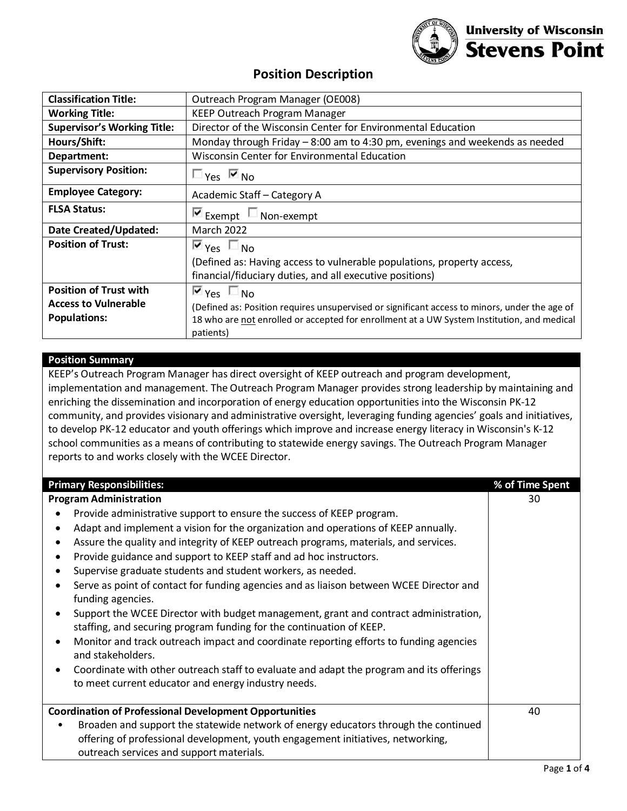

# **Position Description**

| <b>Classification Title:</b>       | Outreach Program Manager (OE008)                                                                        |  |
|------------------------------------|---------------------------------------------------------------------------------------------------------|--|
| <b>Working Title:</b>              | KEEP Outreach Program Manager                                                                           |  |
| <b>Supervisor's Working Title:</b> | Director of the Wisconsin Center for Environmental Education                                            |  |
| Hours/Shift:                       | Monday through Friday $-8:00$ am to 4:30 pm, evenings and weekends as needed                            |  |
| Department:                        | Wisconsin Center for Environmental Education                                                            |  |
| <b>Supervisory Position:</b>       | $\Box$ Yes $\boxdot$ No                                                                                 |  |
| <b>Employee Category:</b>          | Academic Staff - Category A                                                                             |  |
| <b>FLSA Status:</b>                | $\blacksquare$ Exempt $\blacksquare$ Non-exempt                                                         |  |
| Date Created/Updated:              | <b>March 2022</b>                                                                                       |  |
| <b>Position of Trust:</b>          | $\overline{\mathsf{M}}$ Yes $\overline{\mathsf{M}}$ No                                                  |  |
|                                    | (Defined as: Having access to vulnerable populations, property access,                                  |  |
|                                    | financial/fiduciary duties, and all executive positions)                                                |  |
| <b>Position of Trust with</b>      | $\blacksquare$ Yes $\blacksquare$ No                                                                    |  |
| <b>Access to Vulnerable</b>        | (Defined as: Position requires unsupervised or significant access to minors, under the age of           |  |
| <b>Populations:</b>                | 18 who are not enrolled or accepted for enrollment at a UW System Institution, and medical<br>patients) |  |

# **Position Summary**

KEEP's Outreach Program Manager has direct oversight of KEEP outreach and program development, implementation and management. The Outreach Program Manager provides strong leadership by maintaining and enriching the dissemination and incorporation of energy education opportunities into the Wisconsin PK-12 community, and provides visionary and administrative oversight, leveraging funding agencies' goals and initiatives, to develop PK-12 educator and youth offerings which improve and increase energy literacy in Wisconsin's K-12 school communities as a means of contributing to statewide energy savings. The Outreach Program Manager reports to and works closely with the WCEE Director.

| <b>Primary Responsibilities:</b>                                                                 | % of Time Spent |
|--------------------------------------------------------------------------------------------------|-----------------|
| <b>Program Administration</b>                                                                    | 30              |
| Provide administrative support to ensure the success of KEEP program.                            |                 |
| Adapt and implement a vision for the organization and operations of KEEP annually.               |                 |
| Assure the quality and integrity of KEEP outreach programs, materials, and services.             |                 |
| Provide guidance and support to KEEP staff and ad hoc instructors.                               |                 |
| Supervise graduate students and student workers, as needed.                                      |                 |
| Serve as point of contact for funding agencies and as liaison between WCEE Director and          |                 |
| funding agencies.                                                                                |                 |
| Support the WCEE Director with budget management, grant and contract administration,             |                 |
| staffing, and securing program funding for the continuation of KEEP.                             |                 |
| Monitor and track outreach impact and coordinate reporting efforts to funding agencies           |                 |
| and stakeholders.                                                                                |                 |
| Coordinate with other outreach staff to evaluate and adapt the program and its offerings         |                 |
| to meet current educator and energy industry needs.                                              |                 |
| <b>Coordination of Professional Development Opportunities</b>                                    | 40              |
| Broaden and support the statewide network of energy educators through the continued<br>$\bullet$ |                 |
| offering of professional development, youth engagement initiatives, networking,                  |                 |
| outreach services and support materials.                                                         |                 |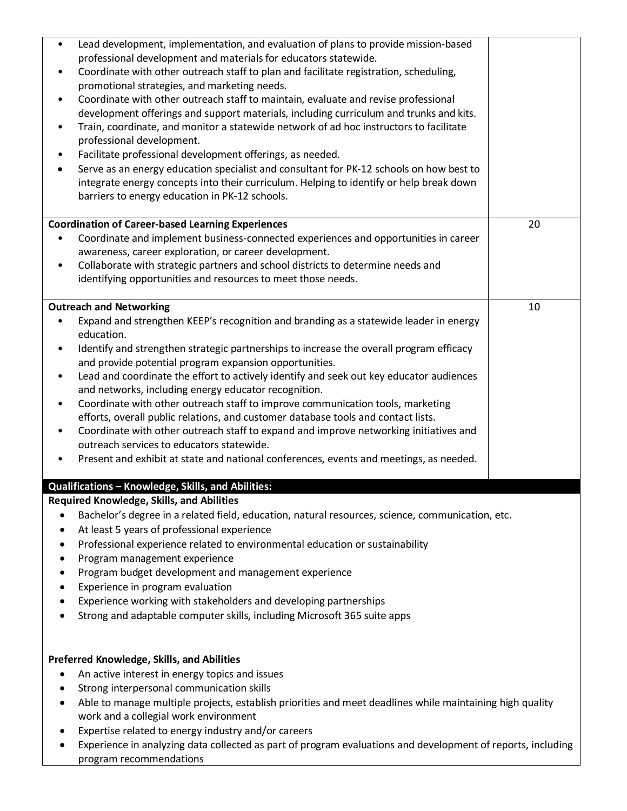| Lead development, implementation, and evaluation of plans to provide mission-based<br>$\bullet$<br>professional development and materials for educators statewide.<br>Coordinate with other outreach staff to plan and facilitate registration, scheduling,<br>promotional strategies, and marketing needs.<br>Coordinate with other outreach staff to maintain, evaluate and revise professional<br>$\bullet$<br>development offerings and support materials, including curriculum and trunks and kits.<br>Train, coordinate, and monitor a statewide network of ad hoc instructors to facilitate<br>$\bullet$<br>professional development.<br>Facilitate professional development offerings, as needed.<br>$\bullet$<br>Serve as an energy education specialist and consultant for PK-12 schools on how best to<br>٠<br>integrate energy concepts into their curriculum. Helping to identify or help break down<br>barriers to energy education in PK-12 schools. |    |
|---------------------------------------------------------------------------------------------------------------------------------------------------------------------------------------------------------------------------------------------------------------------------------------------------------------------------------------------------------------------------------------------------------------------------------------------------------------------------------------------------------------------------------------------------------------------------------------------------------------------------------------------------------------------------------------------------------------------------------------------------------------------------------------------------------------------------------------------------------------------------------------------------------------------------------------------------------------------|----|
| <b>Coordination of Career-based Learning Experiences</b><br>Coordinate and implement business-connected experiences and opportunities in career<br>awareness, career exploration, or career development.<br>Collaborate with strategic partners and school districts to determine needs and<br>$\bullet$<br>identifying opportunities and resources to meet those needs.                                                                                                                                                                                                                                                                                                                                                                                                                                                                                                                                                                                            | 20 |
| <b>Outreach and Networking</b><br>Expand and strengthen KEEP's recognition and branding as a statewide leader in energy<br>٠<br>education.<br>Identify and strengthen strategic partnerships to increase the overall program efficacy<br>٠<br>and provide potential program expansion opportunities.<br>Lead and coordinate the effort to actively identify and seek out key educator audiences<br>$\bullet$<br>and networks, including energy educator recognition.<br>Coordinate with other outreach staff to improve communication tools, marketing<br>$\bullet$<br>efforts, overall public relations, and customer database tools and contact lists.<br>Coordinate with other outreach staff to expand and improve networking initiatives and<br>٠<br>outreach services to educators statewide.<br>Present and exhibit at state and national conferences, events and meetings, as needed.<br>٠                                                                  | 10 |
| Qualifications - Knowledge, Skills, and Abilities:<br><b>Required Knowledge, Skills, and Abilities</b>                                                                                                                                                                                                                                                                                                                                                                                                                                                                                                                                                                                                                                                                                                                                                                                                                                                              |    |
| Bachelor's degree in a related field, education, natural resources, science, communication, etc.<br>At least 5 years of professional experience<br>Professional experience related to environmental education or sustainability<br>Program management experience<br>Program budget development and management experience<br>٠<br>Experience in program evaluation<br>Experience working with stakeholders and developing partnerships<br>Strong and adaptable computer skills, including Microsoft 365 suite apps                                                                                                                                                                                                                                                                                                                                                                                                                                                   |    |
| Preferred Knowledge, Skills, and Abilities<br>An active interest in energy topics and issues<br>Strong interpersonal communication skills<br>٠<br>Able to manage multiple projects, establish priorities and meet deadlines while maintaining high quality<br>$\bullet$<br>work and a collegial work environment<br>Expertise related to energy industry and/or careers<br>$\bullet$<br>Experience in analyzing data collected as part of program evaluations and development of reports, including<br>$\bullet$<br>program recommendations                                                                                                                                                                                                                                                                                                                                                                                                                         |    |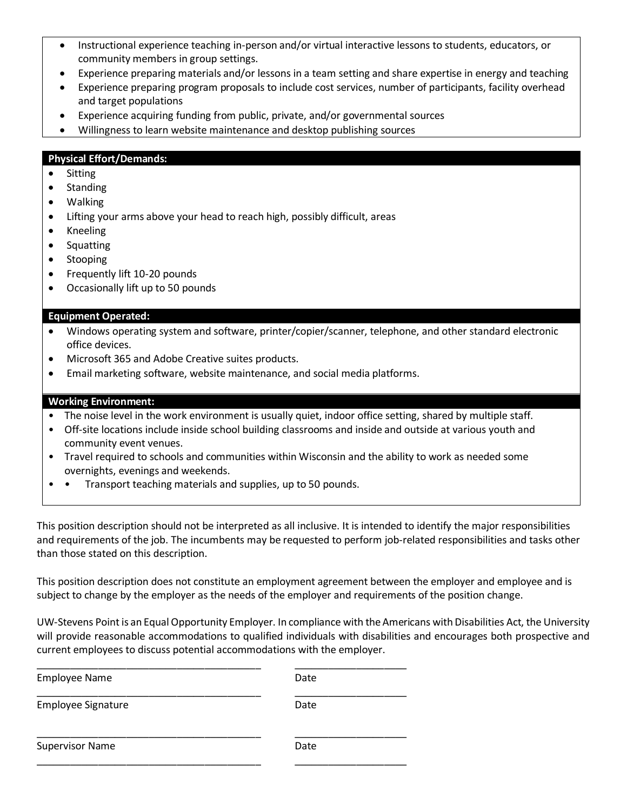- Instructional experience teaching in-person and/or virtual interactive lessons to students, educators, or community members in group settings.
- Experience preparing materials and/or lessons in a team setting and share expertise in energy and teaching
- Experience preparing program proposals to include cost services, number of participants, facility overhead and target populations
- Experience acquiring funding from public, private, and/or governmental sources
- Willingness to learn website maintenance and desktop publishing sources

## **Physical Effort/Demands:**

- **Sitting**
- Standing
- Walking
- Lifting your arms above your head to reach high, possibly difficult, areas
- Kneeling
- Squatting
- **Stooping**
- Frequently lift 10-20 pounds
- Occasionally lift up to 50 pounds

### **Equipment Operated:**

- Windows operating system and software, printer/copier/scanner, telephone, and other standard electronic office devices.
- Microsoft 365 and Adobe Creative suites products.
- Email marketing software, website maintenance, and social media platforms.

### **Working Environment:**

- The noise level in the work environment is usually quiet, indoor office setting, shared by multiple staff.
- Off-site locations include inside school building classrooms and inside and outside at various youth and community event venues.
- Travel required to schools and communities within Wisconsin and the ability to work as needed some overnights, evenings and weekends.
- • Transport teaching materials and supplies, up to 50 pounds.

This position description should not be interpreted as all inclusive. It is intended to identify the major responsibilities and requirements of the job. The incumbents may be requested to perform job-related responsibilities and tasks other than those stated on this description.

This position description does not constitute an employment agreement between the employer and employee and is subject to change by the employer as the needs of the employer and requirements of the position change.

UW-Stevens Point is an Equal Opportunity Employer. In compliance with the Americans with Disabilities Act, the University will provide reasonable accommodations to qualified individuals with disabilities and encourages both prospective and current employees to discuss potential accommodations with the employer.

| <b>Employee Name</b>      | Date |
|---------------------------|------|
| <b>Employee Signature</b> | Date |
| <b>Supervisor Name</b>    | Date |